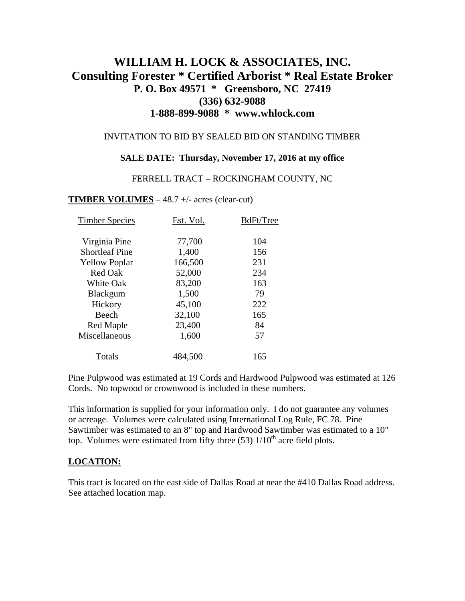# **WILLIAM H. LOCK & ASSOCIATES, INC. Consulting Forester \* Certified Arborist \* Real Estate Broker P. O. Box 49571 \* Greensboro, NC 27419 (336) 632-9088 1-888-899-9088 \* www.whlock.com**

### INVITATION TO BID BY SEALED BID ON STANDING TIMBER

### **SALE DATE: Thursday, November 17, 2016 at my office**

#### FERRELL TRACT – ROCKINGHAM COUNTY, NC

#### **TIMBER VOLUMES** – 48.7 +/- acres (clear-cut)

| <b>Timber Species</b> | Est. Vol. | BdFt/Tree |
|-----------------------|-----------|-----------|
| Virginia Pine         | 77,700    | 104       |
| <b>Shortleaf Pine</b> | 1,400     | 156       |
| <b>Yellow Poplar</b>  | 166,500   | 231       |
| Red Oak               | 52,000    | 234       |
| <b>White Oak</b>      | 83,200    | 163       |
| <b>Blackgum</b>       | 1,500     | 79        |
| Hickory               | 45,100    | 222       |
| Beech                 | 32,100    | 165       |
| <b>Red Maple</b>      | 23,400    | 84        |
| Miscellaneous         | 1,600     | 57        |
| Totals                | 484,500   | 165       |

Pine Pulpwood was estimated at 19 Cords and Hardwood Pulpwood was estimated at 126 Cords. No topwood or crownwood is included in these numbers.

This information is supplied for your information only. I do not guarantee any volumes or acreage. Volumes were calculated using International Log Rule, FC 78. Pine Sawtimber was estimated to an 8" top and Hardwood Sawtimber was estimated to a 10" top. Volumes were estimated from fifty three  $(53)$  1/10<sup>th</sup> acre field plots.

#### **LOCATION:**

This tract is located on the east side of Dallas Road at near the #410 Dallas Road address. See attached location map.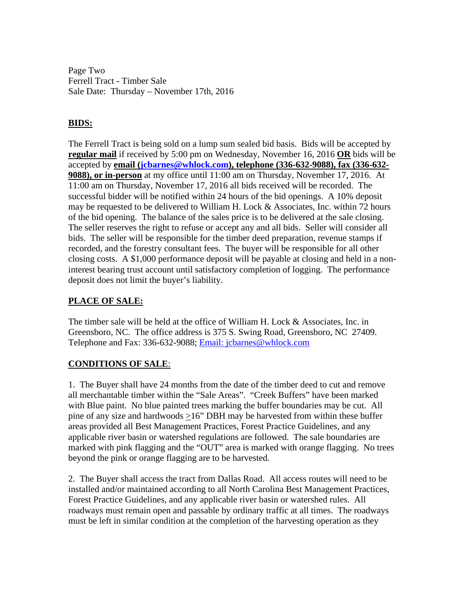Page Two Ferrell Tract - Timber Sale Sale Date: Thursday – November 17th, 2016

# **BIDS:**

The Ferrell Tract is being sold on a lump sum sealed bid basis. Bids will be accepted by **regular mail** if received by 5:00 pm on Wednesday, November 16, 2016 **OR** bids will be accepted by **email ([jcbarnes@whlock.com](mailto:jcbarnes@whlock.com)), telephone (336-632-9088), fax (336-632- 9088), or in-person** at my office until 11:00 am on Thursday, November 17, 2016. At 11:00 am on Thursday, November 17, 2016 all bids received will be recorded. The successful bidder will be notified within 24 hours of the bid openings. A 10% deposit may be requested to be delivered to William H. Lock & Associates, Inc. within 72 hours of the bid opening. The balance of the sales price is to be delivered at the sale closing. The seller reserves the right to refuse or accept any and all bids. Seller will consider all bids. The seller will be responsible for the timber deed preparation, revenue stamps if recorded, and the forestry consultant fees. The buyer will be responsible for all other closing costs. A \$1,000 performance deposit will be payable at closing and held in a noninterest bearing trust account until satisfactory completion of logging. The performance deposit does not limit the buyer's liability.

## **PLACE OF SALE:**

The timber sale will be held at the office of William H. Lock & Associates, Inc. in Greensboro, NC. The office address is 375 S. Swing Road, Greensboro, NC 27409. Telephone and Fax: 336-632-9088; [Email: jcbarnes@whlock.com](mailto:Email:%20jcbarnes@whlock.com) 

## **CONDITIONS OF SALE**:

1. The Buyer shall have 24 months from the date of the timber deed to cut and remove all merchantable timber within the "Sale Areas". "Creek Buffers" have been marked with Blue paint. No blue painted trees marking the buffer boundaries may be cut. All pine of any size and hardwoods >16" DBH may be harvested from within these buffer areas provided all Best Management Practices, Forest Practice Guidelines, and any applicable river basin or watershed regulations are followed. The sale boundaries are marked with pink flagging and the "OUT" area is marked with orange flagging. No trees beyond the pink or orange flagging are to be harvested.

2. The Buyer shall access the tract from Dallas Road. All access routes will need to be installed and/or maintained according to all North Carolina Best Management Practices, Forest Practice Guidelines, and any applicable river basin or watershed rules. All roadways must remain open and passable by ordinary traffic at all times. The roadways must be left in similar condition at the completion of the harvesting operation as they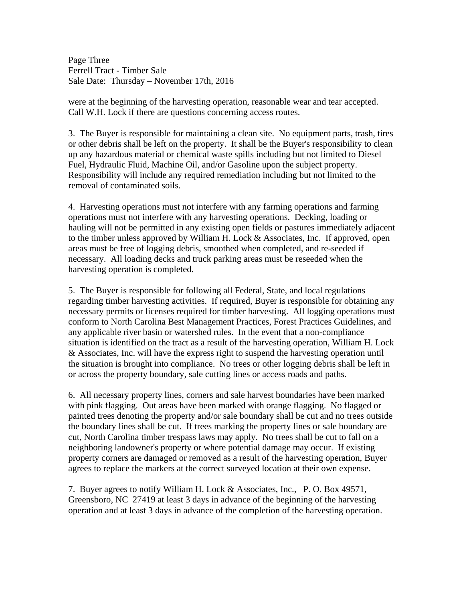Page Three Ferrell Tract - Timber Sale Sale Date: Thursday – November 17th, 2016

were at the beginning of the harvesting operation, reasonable wear and tear accepted. Call W.H. Lock if there are questions concerning access routes.

3. The Buyer is responsible for maintaining a clean site. No equipment parts, trash, tires or other debris shall be left on the property. It shall be the Buyer's responsibility to clean up any hazardous material or chemical waste spills including but not limited to Diesel Fuel, Hydraulic Fluid, Machine Oil, and/or Gasoline upon the subject property. Responsibility will include any required remediation including but not limited to the removal of contaminated soils.

4. Harvesting operations must not interfere with any farming operations and farming operations must not interfere with any harvesting operations. Decking, loading or hauling will not be permitted in any existing open fields or pastures immediately adjacent to the timber unless approved by William H. Lock  $&$  Associates, Inc. If approved, open areas must be free of logging debris, smoothed when completed, and re-seeded if necessary. All loading decks and truck parking areas must be reseeded when the harvesting operation is completed.

5. The Buyer is responsible for following all Federal, State, and local regulations regarding timber harvesting activities. If required, Buyer is responsible for obtaining any necessary permits or licenses required for timber harvesting. All logging operations must conform to North Carolina Best Management Practices, Forest Practices Guidelines, and any applicable river basin or watershed rules. In the event that a non-compliance situation is identified on the tract as a result of the harvesting operation, William H. Lock & Associates, Inc. will have the express right to suspend the harvesting operation until the situation is brought into compliance. No trees or other logging debris shall be left in or across the property boundary, sale cutting lines or access roads and paths.

6. All necessary property lines, corners and sale harvest boundaries have been marked with pink flagging. Out areas have been marked with orange flagging. No flagged or painted trees denoting the property and/or sale boundary shall be cut and no trees outside the boundary lines shall be cut. If trees marking the property lines or sale boundary are cut, North Carolina timber trespass laws may apply. No trees shall be cut to fall on a neighboring landowner's property or where potential damage may occur. If existing property corners are damaged or removed as a result of the harvesting operation, Buyer agrees to replace the markers at the correct surveyed location at their own expense.

7. Buyer agrees to notify William H. Lock & Associates, Inc., P. O. Box 49571, Greensboro, NC 27419 at least 3 days in advance of the beginning of the harvesting operation and at least 3 days in advance of the completion of the harvesting operation.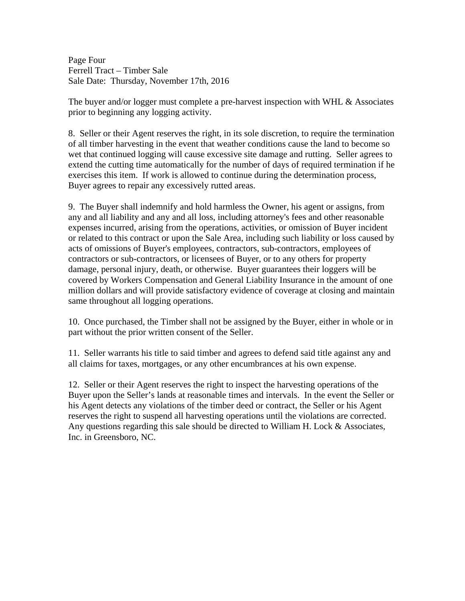Page Four Ferrell Tract – Timber Sale Sale Date: Thursday, November 17th, 2016

The buyer and/or logger must complete a pre-harvest inspection with WHL & Associates prior to beginning any logging activity.

8. Seller or their Agent reserves the right, in its sole discretion, to require the termination of all timber harvesting in the event that weather conditions cause the land to become so wet that continued logging will cause excessive site damage and rutting. Seller agrees to extend the cutting time automatically for the number of days of required termination if he exercises this item. If work is allowed to continue during the determination process, Buyer agrees to repair any excessively rutted areas.

9. The Buyer shall indemnify and hold harmless the Owner, his agent or assigns, from any and all liability and any and all loss, including attorney's fees and other reasonable expenses incurred, arising from the operations, activities, or omission of Buyer incident or related to this contract or upon the Sale Area, including such liability or loss caused by acts of omissions of Buyer's employees, contractors, sub-contractors, employees of contractors or sub-contractors, or licensees of Buyer, or to any others for property damage, personal injury, death, or otherwise. Buyer guarantees their loggers will be covered by Workers Compensation and General Liability Insurance in the amount of one million dollars and will provide satisfactory evidence of coverage at closing and maintain same throughout all logging operations.

10. Once purchased, the Timber shall not be assigned by the Buyer, either in whole or in part without the prior written consent of the Seller.

11. Seller warrants his title to said timber and agrees to defend said title against any and all claims for taxes, mortgages, or any other encumbrances at his own expense.

12. Seller or their Agent reserves the right to inspect the harvesting operations of the Buyer upon the Seller's lands at reasonable times and intervals. In the event the Seller or his Agent detects any violations of the timber deed or contract, the Seller or his Agent reserves the right to suspend all harvesting operations until the violations are corrected. Any questions regarding this sale should be directed to William H. Lock  $&$  Associates, Inc. in Greensboro, NC.